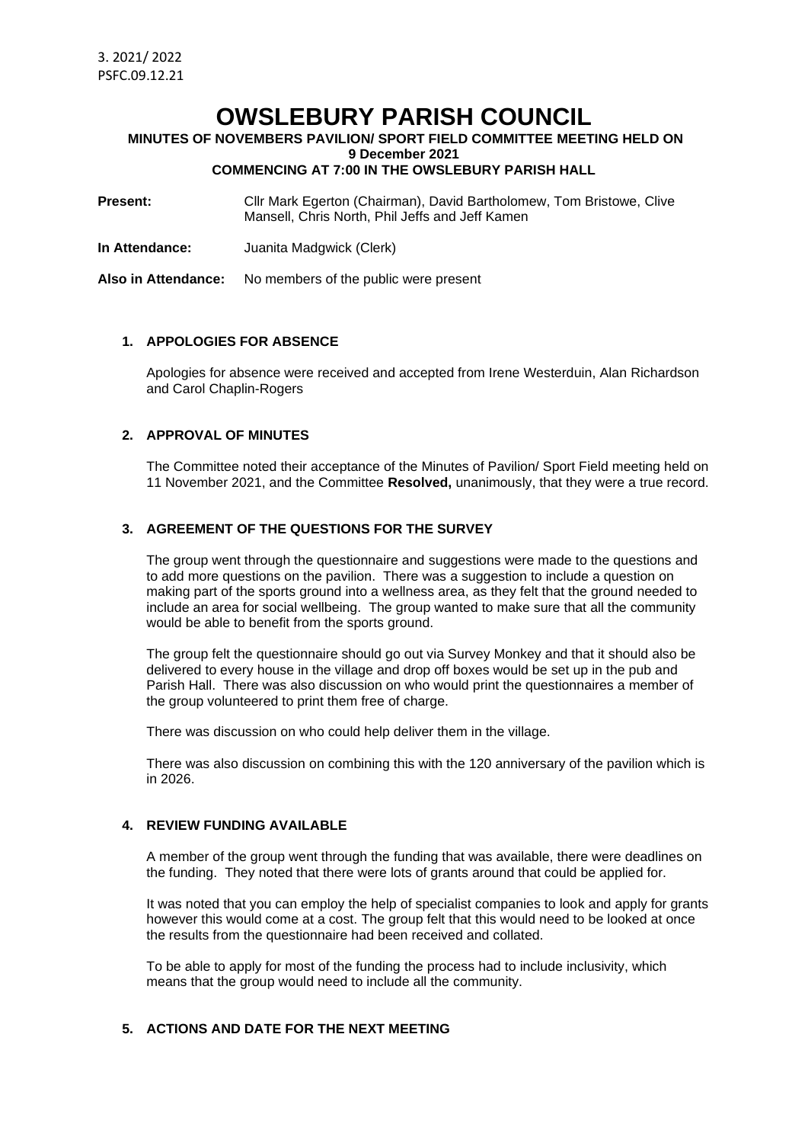# **OWSLEBURY PARISH COUNCIL**

**MINUTES OF NOVEMBERS PAVILION/ SPORT FIELD COMMITTEE MEETING HELD ON**

**9 December 2021**

# **COMMENCING AT 7:00 IN THE OWSLEBURY PARISH HALL**

**Present:** Cllr Mark Egerton (Chairman), David Bartholomew, Tom Bristowe, Clive Mansell, Chris North, Phil Jeffs and Jeff Kamen

**In Attendance:** Juanita Madgwick (Clerk)

**Also in Attendance:** No members of the public were present

#### **1. APPOLOGIES FOR ABSENCE**

Apologies for absence were received and accepted from Irene Westerduin, Alan Richardson and Carol Chaplin-Rogers

## **2. APPROVAL OF MINUTES**

The Committee noted their acceptance of the Minutes of Pavilion/ Sport Field meeting held on 11 November 2021, and the Committee **Resolved,** unanimously, that they were a true record.

#### **3. AGREEMENT OF THE QUESTIONS FOR THE SURVEY**

The group went through the questionnaire and suggestions were made to the questions and to add more questions on the pavilion. There was a suggestion to include a question on making part of the sports ground into a wellness area, as they felt that the ground needed to include an area for social wellbeing. The group wanted to make sure that all the community would be able to benefit from the sports ground.

The group felt the questionnaire should go out via Survey Monkey and that it should also be delivered to every house in the village and drop off boxes would be set up in the pub and Parish Hall. There was also discussion on who would print the questionnaires a member of the group volunteered to print them free of charge.

There was discussion on who could help deliver them in the village.

There was also discussion on combining this with the 120 anniversary of the pavilion which is in 2026.

## **4. REVIEW FUNDING AVAILABLE**

A member of the group went through the funding that was available, there were deadlines on the funding. They noted that there were lots of grants around that could be applied for.

It was noted that you can employ the help of specialist companies to look and apply for grants however this would come at a cost. The group felt that this would need to be looked at once the results from the questionnaire had been received and collated.

To be able to apply for most of the funding the process had to include inclusivity, which means that the group would need to include all the community.

#### **5. ACTIONS AND DATE FOR THE NEXT MEETING**